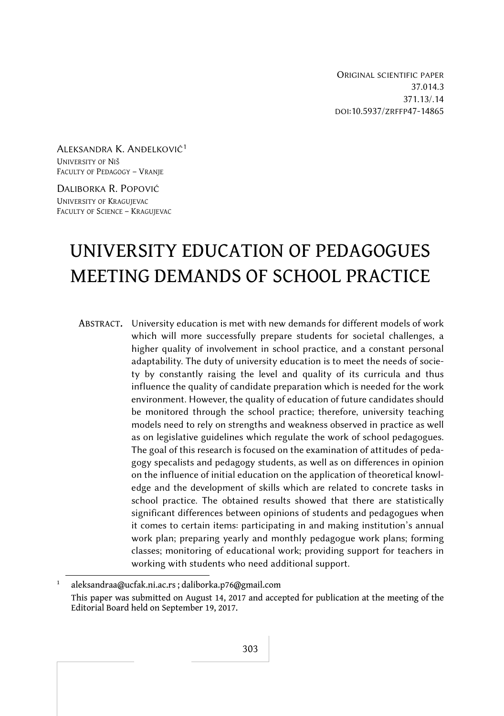ORIGINAL SCIENTIFIC PAPER 37.014.3 371.13/.14 DOI:10.5937/ZRFFP47-14865

ALEKSANDRA K. ANĐELKOVIĆ<sup>1</sup> UNIVERSITY OF NIŠ FACULTY OF PEDAGOGY – VRANJE

DALIBORKA R. POPOVIĆ UNIVERSITY OF KRAGUJEVAC FACULTY OF SCIENCE – KRAGUJEVAC

# UNIVERSITY EDUCATION OF PEDAGOGUES MEETING DEMANDS OF SCHOOL PRACTICE

ABSTRACT. University education is met with new demands for different models of work which will more successfully prepare students for societal challenges, a higher quality of involvement in school practice, and a constant personal adaptability. The duty of university education is to meet the needs of society by constantly raising the level and quality of its curricula and thus influence the quality of candidate preparation which is needed for the work environment. However, the quality of education of future candidates should be monitored through the school practice; therefore, university teaching models need to rely on strengths and weakness observed in practice as well as on legislative guidelines which regulate the work of school pedagogues. The goal of this research is focused on the examination of attitudes of pedagogy specalists and pedagogy students, as well as on differences in opinion on the influence of initial education on the application of theoretical knowledge and the development of skills which are related to concrete tasks in school practice. The obtained results showed that there are statistically significant differences between opinions of students and pedagogues when it comes to certain items: participating in and making institution's annual work plan; preparing yearly and monthly pedagogue work plans; forming classes; monitoring of educational work; providing support for teachers in working with students who need additional support.

<sup>1</sup> aleksandraa@ucfak.ni.ac.rs ; daliborka.p76@gmail.com This paper was submitted on August 14, 2017 and accepted for publication at the meeting of the Editorial Board held on September 19, 2017.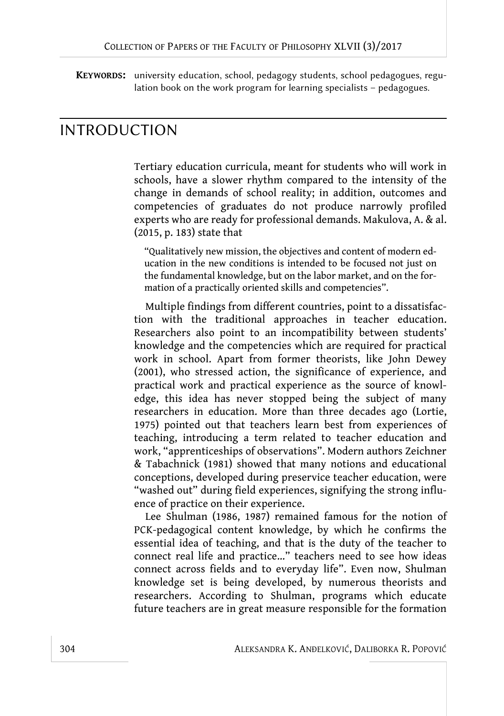**KEYWORDS:** university education, school, pedagogy students, school pedagogues, regulation book on the work program for learning specialists – pedagogues.

## INTRODUCTION

Tertiary education curricula, meant for students who will work in schools, have a slower rhythm compared to the intensity of the change in demands of school reality; in addition, outcomes and competencies of graduates do not produce narrowly profiled experts who are ready for professional demands. Makulova, A. & al. (2015, p. 183) state that

"Qualitatively new mission, the objectives and content of modern education in the new conditions is intended to be focused not just on the fundamental knowledge, but on the labor market, and on the formation of a practically oriented skills and competencies".

Multiple findings from different countries, point to a dissatisfaction with the traditional approaches in teacher education. Researchers also point to an incompatibility between students' knowledge and the competencies which are required for practical work in school. Apart from former theorists, like John Dewey (2001), who stressed action, the significance of experience, and practical work and practical experience as the source of knowledge, this idea has never stopped being the subject of many researchers in education. More than three decades ago (Lortie, 1975) pointed out that teachers learn best from experiences of teaching, introducing a term related to teacher education and work, "apprenticeships of observations". Modern authors Zeichner & Tabachnick (1981) showed that many notions and educational conceptions, developed during preservice teacher education, were "washed out" during field experiences, signifying the strong influence of practice on their experience.

Lee Shulman (1986, 1987) remained famous for the notion of PCK-pedagogical content knowledge, by which he confirms the essential idea of teaching, and that is the duty of the teacher to connect real life and practice…" teachers need to see how ideas connect across fields and to everyday life". Even now, Shulman knowledge set is being developed, by numerous theorists and researchers. According to Shulman, programs which educate future teachers are in great measure responsible for the formation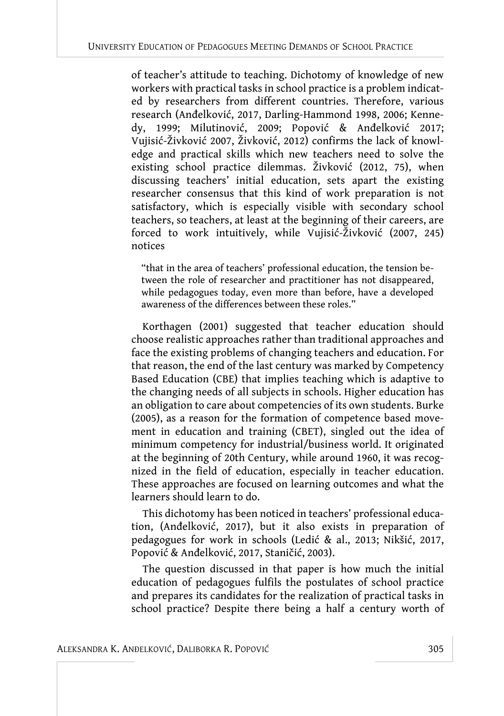of teacher's attitude to teaching. Dichotomy of knowledge of new workers with practical tasks in school practice is a problem indicated by researchers from different countries. Therefore, various research (Anđelković, 2017, Darling-Hammond 1998, 2006; Kennedy, 1999; Milutinović, 2009; Popović & Anđelković 2017; Vujisić-Živković 2007, Živković, 2012) confirms the lack of knowledge and practical skills which new teachers need to solve the existing school practice dilemmas. Živković (2012, 75), when discussing teachers' initial education, sets apart the existing researcher consensus that this kind of work preparation is not satisfactory, which is especially visible with secondary school teachers, so teachers, at least at the beginning of their careers, are forced to work intuitively, while Vujisić-Živković (2007, 245) notices

"that in the area of teachers' professional education, the tension between the role of researcher and practitioner has not disappeared, while pedagogues today, even more than before, have a developed awareness of the differences between these roles."

Korthagen (2001) suggested that teacher education should choose realistic approaches rather than traditional approaches and face the existing problems of changing teachers and education. For that reason, the end of the last century was marked by Competency Based Education (CBE) that implies teaching which is adaptive to the changing needs of all subjects in schools. Higher education has an obligation to care about competencies of its own students. Burke (2005), as a reason for the formation of competence based movement in education and training (CBET), singled out the idea of minimum competency for industrial/business world. It originated at the beginning of 20th Century, while around 1960, it was recognized in the field of education, especially in teacher education. These approaches are focused on learning outcomes and what the learners should learn to do.

This dichotomy has been noticed in teachers' professional education, (Anđelković, 2017), but it also exists in preparation of pedagogues for work in schools (Ledić & al., 2013; Nikšić, 2017, Popović & Anđelković, 2017, Staničić, 2003).

The question discussed in that paper is how much the initial education of pedagogues fulfils the postulates of school practice and prepares its candidates for the realization of practical tasks in school practice? Despite there being a half a century worth of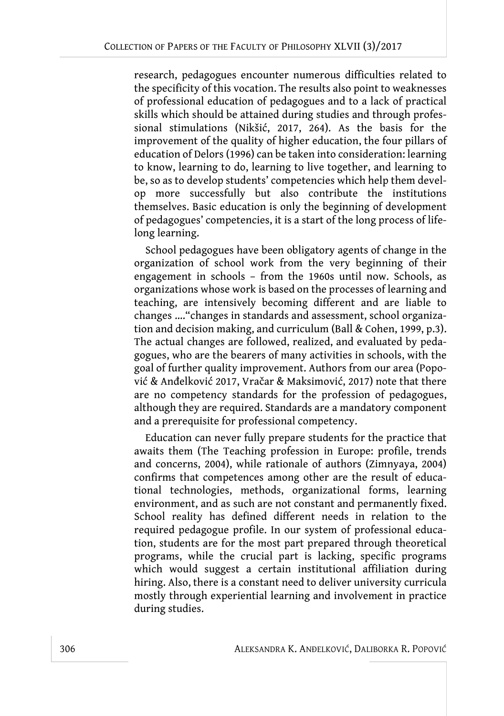research, pedagogues encounter numerous difficulties related to the specificity of this vocation. The results also point to weaknesses of professional education of pedagogues and to a lack of practical skills which should be attained during studies and through professional stimulations (Nikšić, 2017, 264). As the basis for the improvement of the quality of higher education, the four pillars of education of Delors (1996) can be taken into consideration: learning to know, learning to do, learning to live together, and learning to be, so as to develop students' competencies which help them develop more successfully but also contribute the institutions themselves. Basic education is only the beginning of development of pedagogues' competencies, it is a start of the long process of lifelong learning.

School pedagogues have been obligatory agents of change in the organization of school work from the very beginning of their engagement in schools – from the 1960s until now. Schools, as organizations whose work is based on the processes of learning and teaching, are intensively becoming different and are liable to changes …."changes in standards and assessment, school organization and decision making, and curriculum (Ball & Cohen, 1999, p.3). The actual changes are followed, realized, and evaluated by pedagogues, who are the bearers of many activities in schools, with the goal of further quality improvement. Authors from our area (Popović & Anđelković 2017, Vračar & Maksimović, 2017) note that there are no competency standards for the profession of pedagogues, although they are required. Standards are a mandatory component and a prerequisite for professional competency.

Education can never fully prepare students for the practice that awaits them (The Teaching profession in Europe: profile, trends and concerns, 2004), while rationale of authors (Zimnyaya, 2004) confirms that competences among other are the result of educational technologies, methods, organizational forms, learning environment, and as such are not constant and permanently fixed. School reality has defined different needs in relation to the required pedagogue profile. In our system of professional education, students are for the most part prepared through theoretical programs, while the crucial part is lacking, specific programs which would suggest a certain institutional affiliation during hiring. Also, there is a constant need to deliver university curricula mostly through experiential learning and involvement in practice during studies.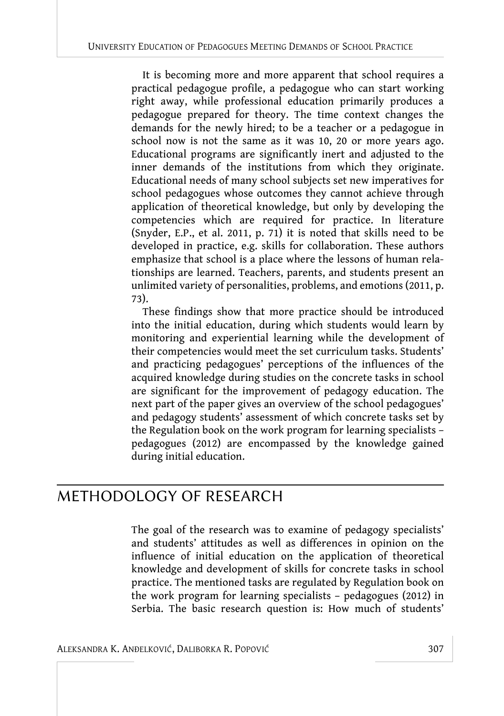It is becoming more and more apparent that school requires a practical pedagogue profile, a pedagogue who can start working right away, while professional education primarily produces a pedagogue prepared for theory. The time context changes the demands for the newly hired; to be a teacher or a pedagogue in school now is not the same as it was 10, 20 or more years ago. Educational programs are significantly inert and adjusted to the inner demands of the institutions from which they originate. Educational needs of many school subjects set new imperatives for school pedagogues whose outcomes they cannot achieve through application of theoretical knowledge, but only by developing the competencies which are required for practice. In literature (Snyder, E.P., et al. 2011, p. 71) it is noted that skills need to be developed in practice, e.g. skills for collaboration. These authors emphasize that school is a place where the lessons of human relationships are learned. Teachers, parents, and students present an unlimited variety of personalities, problems, and emotions (2011, p. 73).

These findings show that more practice should be introduced into the initial education, during which students would learn by monitoring and experiential learning while the development of their competencies would meet the set curriculum tasks. Students' and practicing pedagogues' perceptions of the influences of the acquired knowledge during studies on the concrete tasks in school are significant for the improvement of pedagogy education. The next part of the paper gives an overview of the school pedagogues' and pedagogy students' assessment of which concrete tasks set by the Regulation book on the work program for learning specialists – pedagogues (2012) are encompassed by the knowledge gained during initial education.

## METHODOLOGY OF RESEARCH

The goal of the research was to examine of pedagogy specialists' and students' attitudes as well as differences in opinion on the influence of initial education on the application of theoretical knowledge and development of skills for concrete tasks in school practice. The mentioned tasks are regulated by Regulation book on the work program for learning specialists – pedagogues (2012) in Serbia. The basic research question is: How much of students'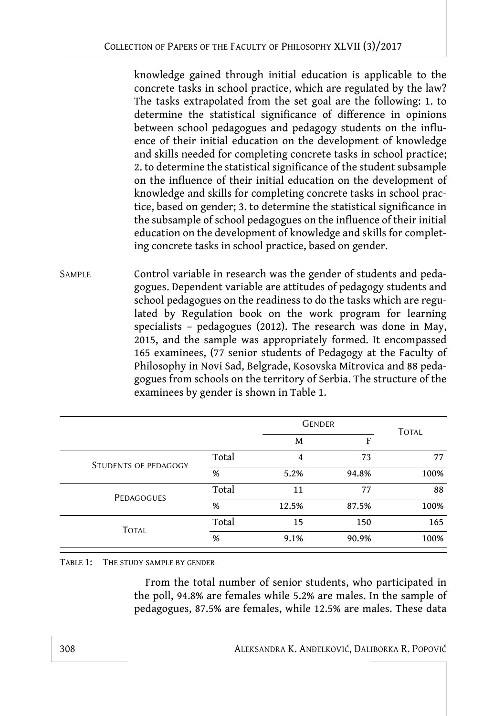knowledge gained through initial education is applicable to the concrete tasks in school practice, which are regulated by the law? The tasks extrapolated from the set goal are the following: 1. to determine the statistical significance of difference in opinions between school pedagogues and pedagogy students on the influence of their initial education on the development of knowledge and skills needed for completing concrete tasks in school practice; 2. to determine the statistical significance of the student subsample on the influence of their initial education on the development of knowledge and skills for completing concrete tasks in school practice, based on gender; 3. to determine the statistical significance in the subsample of school pedagogues on the influence of their initial education on the development of knowledge and skills for completing concrete tasks in school practice, based on gender.

SAMPLE Control variable in research was the gender of students and pedagogues. Dependent variable are attitudes of pedagogy students and school pedagogues on the readiness to do the tasks which are regulated by Regulation book on the work program for learning specialists – pedagogues (2012). The research was done in May, 2015, and the sample was appropriately formed. It encompassed 165 examinees, (77 senior students of Pedagogy at the Faculty of Philosophy in Novi Sad, Belgrade, Kosovska Mitrovica and 88 pedagogues from schools on the territory of Serbia. The structure of the examinees by gender is shown in Table 1.

|                             |       |       | <b>GENDER</b> |              |  |
|-----------------------------|-------|-------|---------------|--------------|--|
|                             |       | M     | F             | <b>TOTAL</b> |  |
| <b>STUDENTS OF PEDAGOGY</b> | Total | 4     | 73            | 77           |  |
|                             | %     | 5.2%  | 94.8%         | 100%         |  |
| PEDAGOGUES                  | Total | 11    | 77            | 88           |  |
|                             | %     | 12.5% | 87.5%         | 100%         |  |
| <b>TOTAL</b>                | Total | 15    | 150           | 165          |  |
|                             | %     | 9.1%  | 90.9%         | 100%         |  |

TABLE 1: THE STUDY SAMPLE BY GENDER

From the total number of senior students, who participated in the poll, 94.8% are females while 5.2% are males. In the sample of pedagogues, 87.5% are females, while 12.5% are males. These data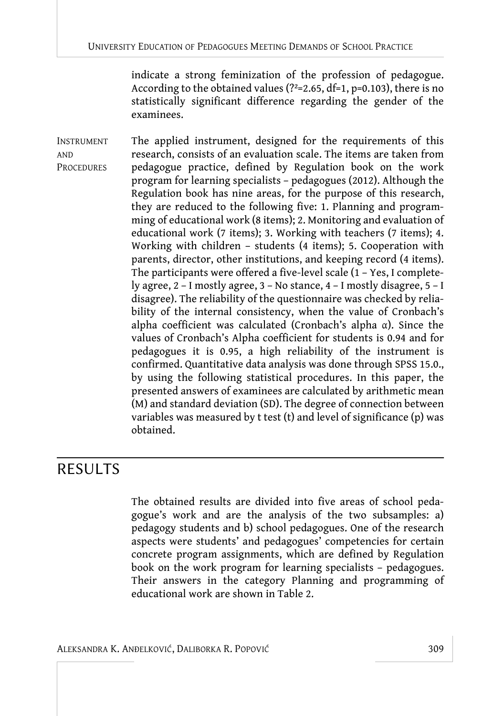indicate a strong feminization of the profession of pedagogue. According to the obtained values (?<sup>2</sup>=2.65, df=1, p=0.103), there is no statistically significant difference regarding the gender of the examinees.

INSTRUMENT AND **PROCEDURES** The applied instrument, designed for the requirements of this research, consists of an evaluation scale. The items are taken from pedagogue practice, defined by Regulation book on the work program for learning specialists – pedagogues (2012). Although the Regulation book has nine areas, for the purpose of this research, they are reduced to the following five: 1. Planning and programming of educational work (8 items); 2. Monitoring and evaluation of educational work (7 items); 3. Working with teachers (7 items); 4. Working with children – students (4 items); 5. Cooperation with parents, director, other institutions, and keeping record (4 items). The participants were offered a five-level scale (1 – Yes, I completely agree, 2 – I mostly agree, 3 – No stance, 4 – I mostly disagree, 5 – I disagree). The reliability of the questionnaire was checked by reliability of the internal consistency, when the value of Cronbach's alpha coefficient was calculated (Cronbach's alpha α). Since the values of Cronbach's Alpha coefficient for students is 0.94 and for pedagogues it is 0.95, a high reliability of the instrument is confirmed. Quantitative data analysis was done through SPSS 15.0., by using the following statistical procedures. In this paper, the presented answers of examinees are calculated by arithmetic mean (M) and standard deviation (SD). The degree of connection between variables was measured by t test (t) and level of significance (p) was obtained.

## RESULTS

The obtained results are divided into five areas of school pedagogue's work and are the analysis of the two subsamples: a) pedagogy students and b) school pedagogues. One of the research aspects were students' and pedagogues' competencies for certain concrete program assignments, which are defined by Regulation book on the work program for learning specialists – pedagogues. Their answers in the category Planning and programming of educational work are shown in Table 2.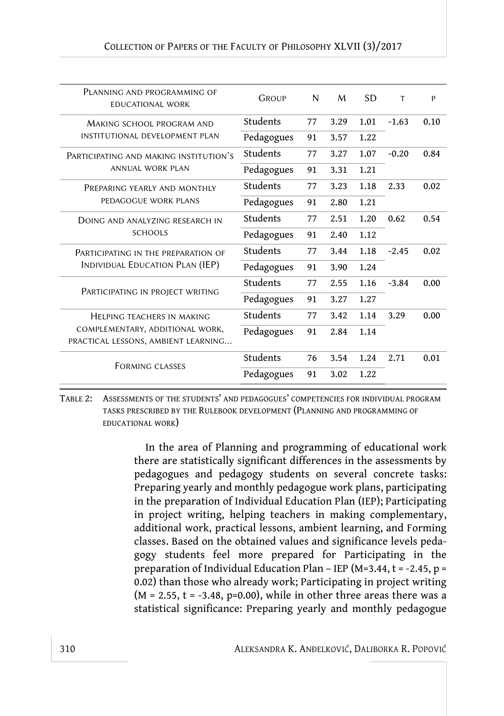| PLANNING AND PROGRAMMING OF<br><b>EDUCATIONAL WORK</b> | <b>GROUP</b> | N  | M    | <b>SD</b> | т       | P    |
|--------------------------------------------------------|--------------|----|------|-----------|---------|------|
| MAKING SCHOOL PROGRAM AND                              | Students     | 77 | 3.29 | 1.01      | $-1.63$ | 0.10 |
| INSTITUTIONAL DEVELOPMENT PLAN                         | Pedagogues   | 91 | 3.57 | 1.22      |         |      |
| PARTICIPATING AND MAKING INSTITUTION'S                 | Students     | 77 | 3.27 | 1.07      | $-0.20$ | 0.84 |
| <b>ANNUAL WORK PLAN</b>                                | Pedagogues   | 91 | 3.31 | 1.21      |         |      |
| PREPARING YEARLY AND MONTHLY                           | Students     | 77 | 3.23 | 1.18      | 2.33    | 0.02 |
| PEDAGOGUE WORK PLANS                                   | Pedagogues   | 91 | 2.80 | 1.21      |         |      |
| DOING AND ANALYZING RESEARCH IN                        | Students     | 77 | 2.51 | 1.20      | 0.62    | 0.54 |
| <b>SCHOOLS</b>                                         | Pedagogues   | 91 | 2.40 | 1.12      |         |      |
| PARTICIPATING IN THE PREPARATION OF                    | Students     | 77 | 3.44 | 1.18      | $-2.45$ | 0.02 |
| INDIVIDUAL EDUCATION PLAN (IEP)                        | Pedagogues   | 91 | 3.90 | 1.24      |         |      |
|                                                        | Students     | 77 | 2.55 | 1.16      | $-3.84$ | 0.00 |
| PARTICIPATING IN PROJECT WRITING                       | Pedagogues   | 91 | 3.27 | 1.27      |         |      |
| HELPING TEACHERS IN MAKING                             | Students     | 77 | 3.42 | 1.14      | 3.29    | 0.00 |
| COMPLEMENTARY, ADDITIONAL WORK,                        | Pedagogues   | 91 | 2.84 | 1.14      |         |      |
| PRACTICAL LESSONS, AMBIENT LEARNING                    |              |    |      |           |         |      |
| <b>FORMING CLASSES</b>                                 | Students     | 76 | 3.54 | 1.24      | 2.71    | 0.01 |
|                                                        | Pedagogues   | 91 | 3.02 | 1.22      |         |      |

TABLE 2: ASSESSMENTS OF THE STUDENTS' AND PEDAGOGUES' COMPETENCIES FOR INDIVIDUAL PROGRAM TASKS PRESCRIBED BY THE RULEBOOK DEVELOPMENT (PLANNING AND PROGRAMMING OF EDUCATIONAL WORK)

> In the area of Planning and programming of educational work there are statistically significant differences in the assessments by pedagogues and pedagogy students on several concrete tasks: Preparing yearly and monthly pedagogue work plans, participating in the preparation of Individual Education Plan (IEP); Participating in project writing, helping teachers in making complementary, additional work, practical lessons, ambient learning, and Forming classes. Based on the obtained values and significance levels pedagogy students feel more prepared for Participating in the preparation of Individual Education Plan – IEP (M=3.44,  $t = -2.45$ ,  $p =$ 0.02) than those who already work; Participating in project writing  $(M = 2.55, t = -3.48, p=0.00)$ , while in other three areas there was a statistical significance: Preparing yearly and monthly pedagogue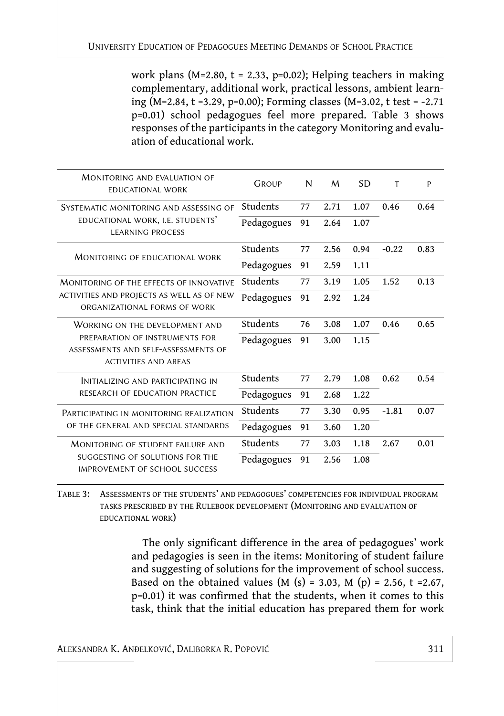work plans (M=2.80,  $t = 2.33$ , p=0.02); Helping teachers in making complementary, additional work, practical lessons, ambient learning (M=2.84, t =3.29, p=0.00); Forming classes (M=3.02, t test = -2.71 p=0.01) school pedagogues feel more prepared. Table 3 shows responses of the participants in the category Monitoring and evaluation of educational work.

| MONITORING AND EVALUATION OF<br><b>EDUCATIONAL WORK</b>                                              | <b>GROUP</b> | N  | M    | <b>SD</b> | T       | P    |
|------------------------------------------------------------------------------------------------------|--------------|----|------|-----------|---------|------|
| SYSTEMATIC MONITORING AND ASSESSING OF                                                               | Students     | 77 | 2.71 | 1.07      | 0.46    | 0.64 |
| EDUCATIONAL WORK, I.E. STUDENTS'<br><b>LEARNING PROCESS</b>                                          | Pedagogues   | 91 | 2.64 | 1.07      |         |      |
| <b>MONITORING OF EDUCATIONAL WORK</b>                                                                | Students     | 77 | 2.56 | 0.94      | $-0.22$ | 0.83 |
|                                                                                                      | Pedagogues   | 91 | 2.59 | 1.11      |         |      |
| MONITORING OF THE EFFECTS OF INNOVATIVE                                                              | Students     | 77 | 3.19 | 1.05      | 1.52    | 0.13 |
| ACTIVITIES AND PROJECTS AS WELL AS OF NEW<br>ORGANIZATIONAL FORMS OF WORK                            | Pedagogues   | 91 | 2.92 | 1.24      |         |      |
| WORKING ON THE DEVELOPMENT AND                                                                       | Students     | 76 | 3.08 | 1.07      | 0.46    | 0.65 |
| PREPARATION OF INSTRUMENTS FOR<br>ASSESSMENTS AND SELF-ASSESSMENTS OF<br><b>ACTIVITIES AND AREAS</b> | Pedagogues   | 91 | 3.00 | 1.15      |         |      |
| INITIALIZING AND PARTICIPATING IN                                                                    | Students     | 77 | 2.79 | 1.08      | 0.62    | 0.54 |
| RESEARCH OF EDUCATION PRACTICE                                                                       | Pedagogues   | 91 | 2.68 | 1.22      |         |      |
| PARTICIPATING IN MONITORING REALIZATION                                                              | Students     | 77 | 3.30 | 0.95      | $-1.81$ | 0.07 |
| OF THE GENERAL AND SPECIAL STANDARDS                                                                 | Pedagogues   | 91 | 3.60 | 1.20      |         |      |
| MONITORING OF STUDENT FAILURE AND                                                                    | Students     | 77 | 3.03 | 1.18      | 2.67    | 0.01 |
| SUGGESTING OF SOLUTIONS FOR THE<br><b>IMPROVEMENT OF SCHOOL SUCCESS</b>                              | Pedagogues   | 91 | 2.56 | 1.08      |         |      |

TABLE 3: ASSESSMENTS OF THE STUDENTS' AND PEDAGOGUES' COMPETENCIES FOR INDIVIDUAL PROGRAM TASKS PRESCRIBED BY THE RULEBOOK DEVELOPMENT (MONITORING AND EVALUATION OF EDUCATIONAL WORK)

> The only significant difference in the area of pedagogues' work and pedagogies is seen in the items: Monitoring of student failure and suggesting of solutions for the improvement of school success. Based on the obtained values (M (s) = 3.03, M (p) = 2.56, t = 2.67, p=0.01) it was confirmed that the students, when it comes to this task, think that the initial education has prepared them for work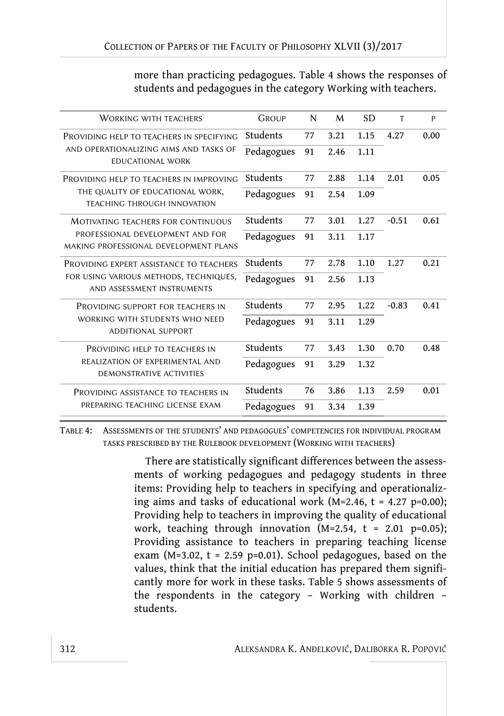more than practicing pedagogues. Table 4 shows the responses of students and pedagogues in the category Working with teachers.

| <b>WORKING WITH TEACHERS</b>                                              | GROUP      | N  | M    | <b>SD</b> | T       | P    |
|---------------------------------------------------------------------------|------------|----|------|-----------|---------|------|
| PROVIDING HELP TO TEACHERS IN SPECIFYING                                  | Students   | 77 | 3.21 | 1.15      | 4.27    | 0.00 |
| AND OPERATIONALIZING AIMS AND TASKS OF<br><b>EDUCATIONAL WORK</b>         | Pedagogues | 91 | 2.46 | 1.11      |         |      |
| PROVIDING HELP TO TEACHERS IN IMPROVING                                   | Students   | 77 | 2.88 | 1.14      | 2.01    | 0.05 |
| THE QUALITY OF EDUCATIONAL WORK,<br><b>TEACHING THROUGH INNOVATION</b>    | Pedagogues | 91 | 2.54 | 1.09      |         |      |
| <b>MOTIVATING TEACHERS FOR CONTINUOUS</b>                                 | Students   | 77 | 3.01 | 1.27      | $-0.51$ | 0.61 |
| PROFESSIONAL DEVELOPMENT AND FOR<br>MAKING PROFESSIONAL DEVELOPMENT PLANS | Pedagogues | 91 | 3.11 | 1.17      |         |      |
| PROVIDING EXPERT ASSISTANCE TO TEACHERS                                   | Students   | 77 | 2.78 | 1.10      | 1.27    | 0.21 |
| FOR USING VARIOUS METHODS, TECHNIQUES,<br>AND ASSESSMENT INSTRUMENTS      | Pedagogues | 91 | 2.56 | 1.13      |         |      |
| PROVIDING SUPPORT FOR TEACHERS IN                                         | Students   | 77 | 2.95 | 1.22      | $-0.83$ | 0.41 |
| WORKING WITH STUDENTS WHO NEED<br><b>ADDITIONAL SUPPORT</b>               | Pedagogues | 91 | 3.11 | 1.29      |         |      |
| PROVIDING HELP TO TEACHERS IN                                             | Students   | 77 | 3.43 | 1.30      | 0.70    | 0.48 |
| REALIZATION OF EXPERIMENTAL AND<br><b>DEMONSTRATIVE ACTIVITIES</b>        | Pedagogues | 91 | 3.29 | 1.32      |         |      |
| PROVIDING ASSISTANCE TO TEACHERS IN                                       | Students   | 76 | 3.86 | 1.13      | 2.59    | 0.01 |
| PREPARING TEACHING LICENSE EXAM                                           | Pedagogues | 91 | 3.34 | 1.39      |         |      |

TABLE 4: ASSESSMENTS OF THE STUDENTS' AND PEDAGOGUES' COMPETENCIES FOR INDIVIDUAL PROGRAM TASKS PRESCRIBED BY THE RULEBOOK DEVELOPMENT (WORKING WITH TEACHERS)

> There are statistically significant differences between the assessments of working pedagogues and pedagogy students in three items: Providing help to teachers in specifying and operationalizing aims and tasks of educational work ( $M=2.46$ ,  $t = 4.27$  p=0.00); Providing help to teachers in improving the quality of educational work, teaching through innovation (M=2.54,  $t = 2.01$  p=0.05); Providing assistance to teachers in preparing teaching license exam (M=3.02,  $t = 2.59$  p=0.01). School pedagogues, based on the values, think that the initial education has prepared them significantly more for work in these tasks. Table 5 shows assessments of the respondents in the category – Working with children – students.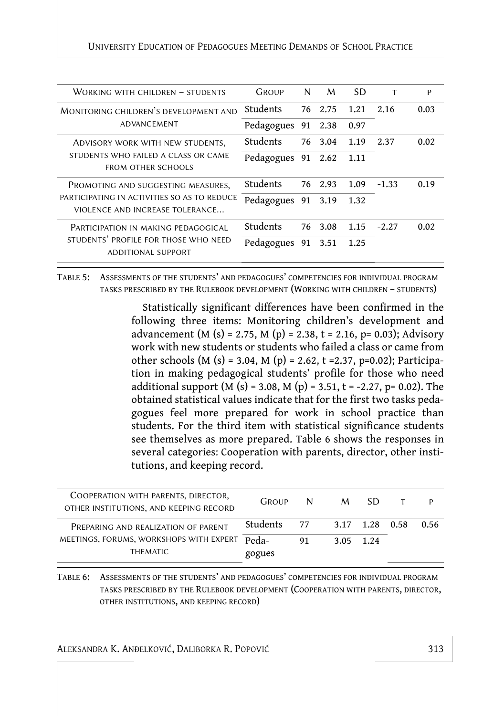| WORKING WITH CHILDREN - STUDENTS                                               | GROUP              | N  | M       | <b>SD</b> |         | P    |
|--------------------------------------------------------------------------------|--------------------|----|---------|-----------|---------|------|
| MONITORING CHILDREN'S DEVELOPMENT AND                                          | Students           |    | 76 2.75 | 1.21      | 2.16    | 0.03 |
| ADVANCEMENT                                                                    | Pedagogues         |    | 91 2.38 | 0.97      |         |      |
| ADVISORY WORK WITH NEW STUDENTS,                                               | Students           |    | 76 3.04 | 1.19      | 2.37    | 0.02 |
| STUDENTS WHO FAILED A CLASS OR CAME<br><b>FROM OTHER SCHOOLS</b>               | Pedagogues 91 2.62 |    |         | -1.11     |         |      |
| PROMOTING AND SUGGESTING MEASURES,                                             | Students           |    | 76 2.93 | 1.09      | $-1.33$ | 0.19 |
| PARTICIPATING IN ACTIVITIES SO AS TO REDUCE<br>VIOLENCE AND INCREASE TOLERANCE | Pedagogues 91 3.19 |    |         | 1.32      |         |      |
| PARTICIPATION IN MAKING PEDAGOGICAL                                            | Students           | 76 | 3.08    | 1.15      | $-2.27$ | 0.02 |
| STUDENTS' PROFILE FOR THOSE WHO NEED<br><b>ADDITIONAL SUPPORT</b>              | Pedagogues         |    | 91 3.51 | 1.25      |         |      |

TABLE 5: ASSESSMENTS OF THE STUDENTS' AND PEDAGOGUES' COMPETENCIES FOR INDIVIDUAL PROGRAM TASKS PRESCRIBED BY THE RULEBOOK DEVELOPMENT (WORKING WITH CHILDREN – STUDENTS)

> Statistically significant differences have been confirmed in the following three items: Monitoring children's development and advancement (M (s) = 2.75, M (p) = 2.38, t = 2.16, p= 0.03); Advisory work with new students or students who failed a class or came from other schools (M (s) = 3.04, M (p) = 2.62, t = 2.37, p=0.02); Participation in making pedagogical students' profile for those who need additional support (M (s) = 3.08, M (p) = 3.51, t = -2.27, p= 0.02). The obtained statistical values indicate that for the first two tasks pedagogues feel more prepared for work in school practice than students. For the third item with statistical significance students see themselves as more prepared. Table 6 shows the responses in several categories: Cooperation with parents, director, other institutions, and keeping record.

| COOPERATION WITH PARENTS, DIRECTOR,<br>OTHER INSTITUTIONS, AND KEEPING RECORD | <b>GROUP</b>    |    | N M SD            | T | P    |
|-------------------------------------------------------------------------------|-----------------|----|-------------------|---|------|
| PREPARING AND REALIZATION OF PARENT                                           | Students        |    | 77 3.17 1.28 0.58 |   | 0.56 |
| MEETINGS, FORUMS, WORKSHOPS WITH EXPERT<br><b>THEMATIC</b>                    | Peda-<br>gogues | 91 | 3.05 1.24         |   |      |

TABLE 6: ASSESSMENTS OF THE STUDENTS' AND PEDAGOGUES' COMPETENCIES FOR INDIVIDUAL PROGRAM TASKS PRESCRIBED BY THE RULEBOOK DEVELOPMENT (COOPERATION WITH PARENTS, DIRECTOR, OTHER INSTITUTIONS, AND KEEPING RECORD)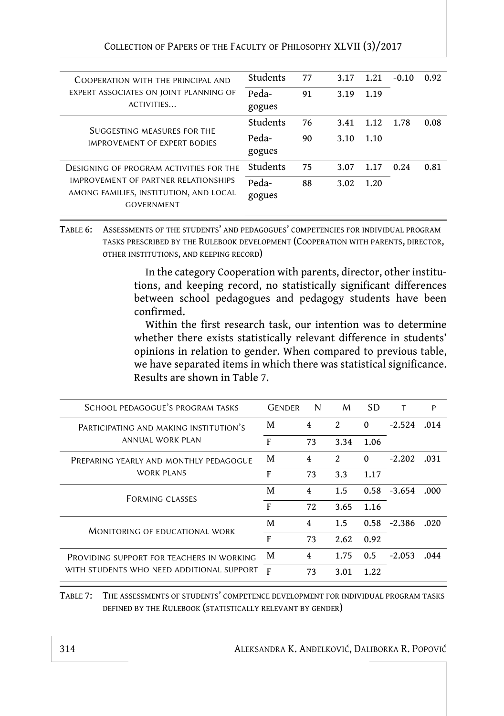| COLLECTION OF PAPERS OF THE FACULTY OF PHILOSOPHY XLVII (3)/2017 |  |  |
|------------------------------------------------------------------|--|--|
|------------------------------------------------------------------|--|--|

| COOPERATION WITH THE PRINCIPAL AND                                                                  | Students        | 77 | 3.17 | 1.21 | $-0.10$ | 0.92 |
|-----------------------------------------------------------------------------------------------------|-----------------|----|------|------|---------|------|
| EXPERT ASSOCIATES ON JOINT PLANNING OF<br>ACTIVITIES                                                | Peda-<br>gogues | 91 | 3.19 | 1.19 |         |      |
| SUGGESTING MEASURES FOR THE                                                                         | Students        | 76 | 3.41 | 1.12 | 1.78    | 0.08 |
| IMPROVEMENT OF EXPERT BODIES                                                                        | Peda-<br>gogues | 90 | 3.10 | 1.10 |         |      |
| DESIGNING OF PROGRAM ACTIVITIES FOR THE                                                             | Students        | 75 | 3.07 | 1.17 | 0.24    | 0.81 |
| IMPROVEMENT OF PARTNER RELATIONSHIPS<br>AMONG FAMILIES, INSTITUTION, AND LOCAL<br><b>GOVERNMENT</b> | Peda-<br>gogues | 88 | 3.02 | 1.20 |         |      |
|                                                                                                     |                 |    |      |      |         |      |

TABLE 6: ASSESSMENTS OF THE STUDENTS' AND PEDAGOGUES' COMPETENCIES FOR INDIVIDUAL PROGRAM TASKS PRESCRIBED BY THE RULEBOOK DEVELOPMENT (COOPERATION WITH PARENTS, DIRECTOR, OTHER INSTITUTIONS, AND KEEPING RECORD)

> In the category Cooperation with parents, director, other institutions, and keeping record, no statistically significant differences between school pedagogues and pedagogy students have been confirmed.

> Within the first research task, our intention was to determine whether there exists statistically relevant difference in students' opinions in relation to gender. When compared to previous table, we have separated items in which there was statistical significance. Results are shown in Table 7.

| SCHOOL PEDAGOGUE'S PROGRAM TASKS          | <b>GENDER</b> | N  | M                           | SD.      |                | P    |
|-------------------------------------------|---------------|----|-----------------------------|----------|----------------|------|
| PARTICIPATING AND MAKING INSTITUTION'S    | M             | 4  | $\mathfrak{D}$              | $\Omega$ | $-2.524$       | .014 |
| ANNUAL WORK PLAN                          | F             | 73 | 3.34                        | 1.06     |                |      |
| PREPARING YEARLY AND MONTHLY PEDAGOGUE    | M             | 4  | $\mathcal{D}_{\mathcal{L}}$ | $\Omega$ | $-2.202$       | .031 |
| WORK PLANS                                | F             | 73 | 3.3                         | 1.17     |                |      |
| <b>FORMING CLASSES</b>                    | M             | 4  | 1.5                         |          | $0.58 - 3.654$ | .000 |
|                                           | F             | 72 | 3.65                        | 1.16     |                |      |
| MONITORING OF EDUCATIONAL WORK            | M             | 4  | 1.5                         |          | $0.58 - 2.386$ | .020 |
|                                           | F             | 73 | 2.62                        | 0.92     |                |      |
| PROVIDING SUPPORT FOR TEACHERS IN WORKING | M             | 4  | 1.75                        | 0.5      | $-2.053$       | .044 |
| WITH STUDENTS WHO NEED ADDITIONAL SUPPORT | F             | 73 | 3.01                        | 1.22.    |                |      |

TABLE 7: THE ASSESSMENTS OF STUDENTS' COMPETENCE DEVELOPMENT FOR INDIVIDUAL PROGRAM TASKS DEFINED BY THE RULEBOOK (STATISTICALLY RELEVANT BY GENDER)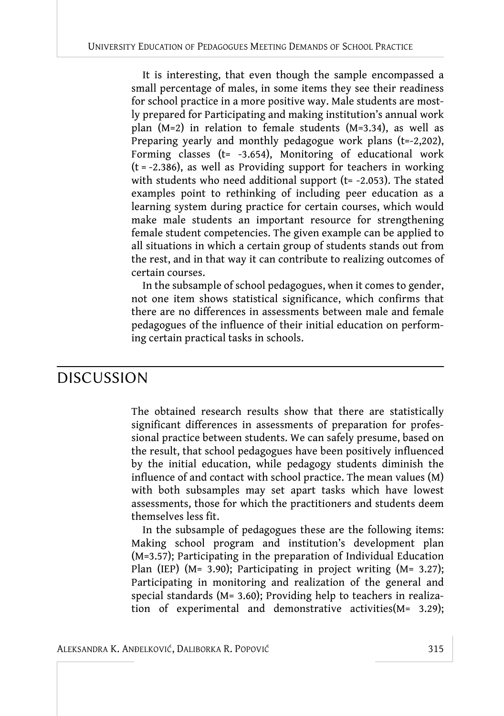It is interesting, that even though the sample encompassed a small percentage of males, in some items they see their readiness for school practice in a more positive way. Male students are mostly prepared for Participating and making institution's annual work plan (M=2) in relation to female students (M=3.34), as well as Preparing yearly and monthly pedagogue work plans (t=-2,202), Forming classes ( $t= -3.654$ ), Monitoring of educational work  $(t = -2.386)$ , as well as Providing support for teachers in working with students who need additional support ( $t=$  -2.053). The stated examples point to rethinking of including peer education as a learning system during practice for certain courses, which would make male students an important resource for strengthening female student competencies. The given example can be applied to all situations in which a certain group of students stands out from the rest, and in that way it can contribute to realizing outcomes of certain courses.

In the subsample of school pedagogues, when it comes to gender, not one item shows statistical significance, which confirms that there are no differences in assessments between male and female pedagogues of the influence of their initial education on performing certain practical tasks in schools.

## DISCUSSION

The obtained research results show that there are statistically significant differences in assessments of preparation for professional practice between students. We can safely presume, based on the result, that school pedagogues have been positively influenced by the initial education, while pedagogy students diminish the influence of and contact with school practice. The mean values (M) with both subsamples may set apart tasks which have lowest assessments, those for which the practitioners and students deem themselves less fit.

In the subsample of pedagogues these are the following items: Making school program and institution's development plan (M=3.57); Participating in the preparation of Individual Education Plan (IEP) (M= 3.90); Participating in project writing (M= 3.27); Participating in monitoring and realization of the general and special standards (M= 3.60); Providing help to teachers in realization of experimental and demonstrative activities(M= 3.29);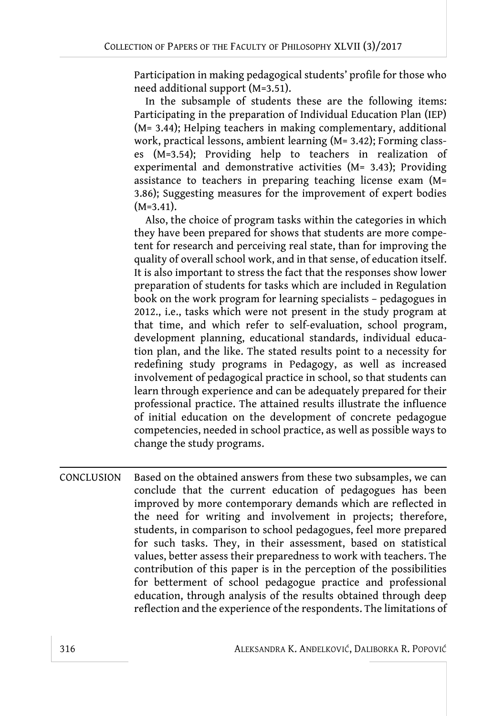Participation in making pedagogical students' profile for those who need additional support (M=3.51).

In the subsample of students these are the following items: Participating in the preparation of Individual Education Plan (IEP) (M= 3.44); Helping teachers in making complementary, additional work, practical lessons, ambient learning (M= 3.42); Forming classes (M=3.54); Providing help to teachers in realization of experimental and demonstrative activities (M= 3.43); Providing assistance to teachers in preparing teaching license exam (M= 3.86); Suggesting measures for the improvement of expert bodies  $(M=3.41)$ .

Also, the choice of program tasks within the categories in which they have been prepared for shows that students are more competent for research and perceiving real state, than for improving the quality of overall school work, and in that sense, of education itself. It is also important to stress the fact that the responses show lower preparation of students for tasks which are included in Regulation book on the work program for learning specialists – pedagogues in 2012., i.e., tasks which were not present in the study program at that time, and which refer to self-evaluation, school program, development planning, educational standards, individual education plan, and the like. The stated results point to a necessity for redefining study programs in Pedagogy, as well as increased involvement of pedagogical practice in school, so that students can learn through experience and can be adequately prepared for their professional practice. The attained results illustrate the influence of initial education on the development of concrete pedagogue competencies, needed in school practice, as well as possible ways to change the study programs.

CONCLUSION Based on the obtained answers from these two subsamples, we can conclude that the current education of pedagogues has been improved by more contemporary demands which are reflected in the need for writing and involvement in projects; therefore, students, in comparison to school pedagogues, feel more prepared for such tasks. They, in their assessment, based on statistical values, better assess their preparedness to work with teachers. The contribution of this paper is in the perception of the possibilities for betterment of school pedagogue practice and professional education, through analysis of the results obtained through deep reflection and the experience of the respondents. The limitations of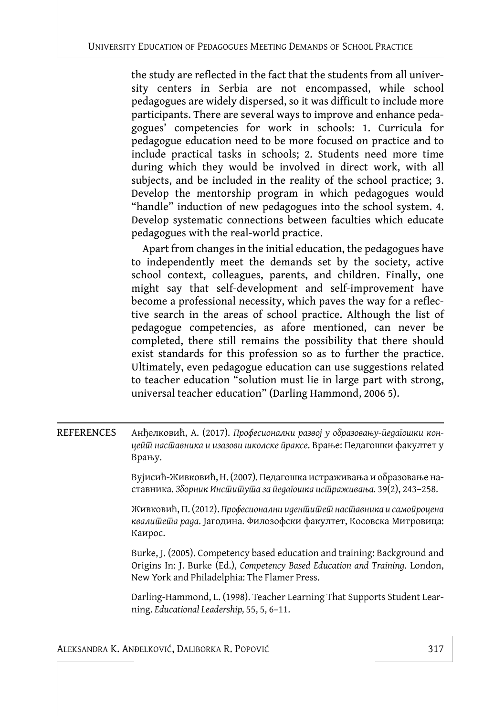the study are reflected in the fact that the students from all university centers in Serbia are not encompassed, while school pedagogues are widely dispersed, so it was difficult to include more participants. There are several ways to improve and enhance pedagogues' competencies for work in schools: 1. Curricula for pedagogue education need to be more focused on practice and to include practical tasks in schools; 2. Students need more time during which they would be involved in direct work, with all subjects, and be included in the reality of the school practice; 3. Develop the mentorship program in which pedagogues would "handle" induction of new pedagogues into the school system. 4. Develop systematic connections between faculties which educate pedagogues with the real-world practice.

Apart from changes in the initial education, the pedagogues have to independently meet the demands set by the society, active school context, colleagues, parents, and children. Finally, one might say that self-development and self-improvement have become a professional necessity, which paves the way for a reflective search in the areas of school practice. Although the list of pedagogue competencies, as afore mentioned, can never be completed, there still remains the possibility that there should exist standards for this profession so as to further the practice. Ultimately, even pedagogue education can use suggestions related to teacher education "solution must lie in large part with strong, universal teacher education" (Darling Hammond, 2006 5).

| REFERENCES | Анђелковић, А. (2017). Професионални развој у образовању-ӣедаı̄ошки кон- |
|------------|--------------------------------------------------------------------------|
|            | цейш насшавника и изазови школске йраксе. Врање: Педагошки факултет у    |
|            | Врању.                                                                   |

Вујисић-Живковић, Н. (2007). Педагошка истраживања и образовање наставника. Зборник Инс*йийуйа за йеда* јошка ис ираживања. 39(2), 243–258.

Живковић, П. (2012). *Професионални иден*шишеш насшавника и самойроцена квалишеша рада. Јагодина. Филозофски факултет, Косовска Митровица: Каирос.

Burke, J. (2005). Competency based education and training: Background and Origins In: J. Burke (Ed.), *Competency Based Education and Training*. London, New York and Philadelphia: The Flamer Press.

Darling-Hammond, L. (1998). Teacher Learning That Supports Student Learning. *Educational Leadership,* 55, 5, 6–11.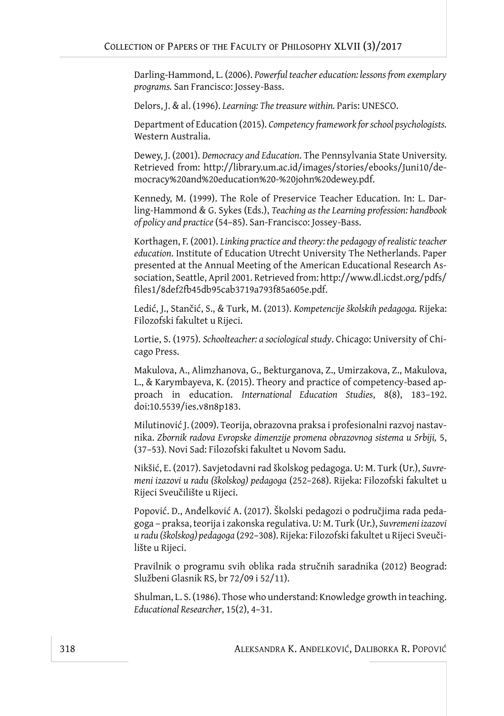Darling-Hammond, L. (2006). *Powerful teacher education: lessons from exemplary programs.* San Francisco: Jossey-Bass.

Delors, J. & al. (1996). *Learning: The treasure within.* Paris: UNESCO.

Department of Education (2015). *Competency framework for school psychologists.* Western Australia.

Dewey, J. (2001). *Democracy and Education*. The Pennsylvania State University. Retrieved from: http://library.um.ac.id/images/stories/ebooks/Juni10/democracy%20and%20education%20-%20john%20dewey.pdf.

Kennedy, M. (1999). The Role of Preservice Teacher Education. In: L. Darling-Hammond & G. Sykes (Eds.), *Teaching as the Learning profession: handbook of policy and practice* (54–85). San-Francisco: Jossey-Bass.

Korthagen, F. (2001). *Linking practice and theory: the pedagogy of realistic teacher education*. Institute of Education Utrecht University The Netherlands. Paper presented at the Annual Meeting of the American Educational Research Association, Seattle, April 2001. Retrieved from: http://www.dl.icdst.org/pdfs/ files1/8def2fb45db95cab3719a793f85a605e.pdf.

Ledić, J., Stančić, S., & Turk, M. (2013). *Kompetencije školskih pedagoga.* Rijeka: Filozofski fakultet u Rijeci.

Lortie, S. (1975). *Schoolteacher: a sociological study*. Chicago: University of Chicago Press.

Makulova, A., Alimzhanova, G., Bekturganova, Z., Umirzakova, Z., Makulova, L., & Karymbayeva, K. (2015). Theory and practice of competency-based approach in education. *International Education Studies*, 8(8), 183–192. doi:10.5539/ies.v8n8p183.

Milutinović J. (2009). Teorija, obrazovna praksa i profesionalni razvoj nastavnika. *Zbornik radova Evropske dimenzije promena obrazovnog sistema u Srbiji,* 5, (37–53). Novi Sad: Filozofski fakultet u Novom Sadu.

Nikšić, E. (2017). Savjetodavni rad školskog pedagoga. U: M. Turk (Ur.), *Suvremeni izazovi u radu (školskog) pedagoga* (252–268). Rijeka: Filozofski fakultet u Rijeci Sveučilište u Rijeci.

Popović. D., Anđelković A. (2017). Školski pedagozi o područjima rada pedagoga – praksa, teorija i zakonska regulativa. U: M. Turk (Ur.), *Suvremeni izazovi u radu (školskog) pedagoga* (292–308). Rijeka: Filozofski fakultet u Rijeci Sveučilište u Rijeci.

Pravilnik o programu svih oblika rada stručnih saradnika (2012) Beograd: Službeni Glasnik RS, br 72/09 i 52/11).

Shulman, L. S. (1986). Those who understand: Knowledge growth in teaching. *Educational Researcher*, 15(2), 4–31.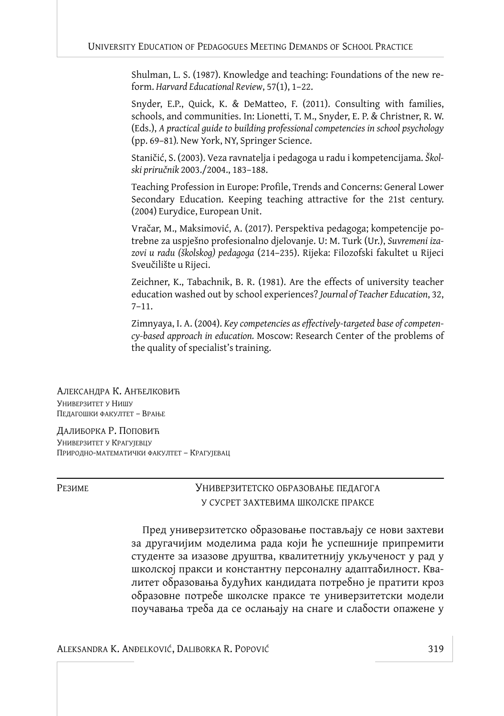Shulman, L. S. (1987). Knowledge and teaching: Foundations of the new reform. *Harvard Educational Review*, 57(1), 1–22.

Snyder, E.P., Quick, K. & DeMatteo, F. (2011). Consulting with families, schools, and communities. In: Lionetti, T. M., Snyder, E. P. & Christner, R. W. (Eds.), *A practical guide to building professional competencies in school psychology* (pp. 69–81)*.* New York, NY, Springer Science.

Staničić, S. (2003). Veza ravnatelja i pedagoga u radu i kompetencijama. *Školski priručnik* 2003./2004., 183–188.

Teaching Profession in Europe: Profile, Trends and Concerns: General Lower Secondary Education. Keeping teaching attractive for the 21st century. (2004) Eurydice, European Unit.

Vračar, M., Maksimović, A. (2017). Perspektiva pedagoga; kompetencije potrebne za uspješno profesionalno djelovanje. U: M. Turk (Ur.), *Suvremeni izazovi u radu (školskog) pedagoga* (214–235). Rijeka: Filozofski fakultet u Rijeci Sveučilište u Rijeci.

Zeichner, K., Tabachnik, B. R. (1981). Are the effects of university teacher education washed out by school experiences? *Journal of Teacher Education*, 32, 7–11.

Zimnyaya, I. A. (2004). *Key competencies as effectively-targeted base of competency-based approach in education.* Moscow: Research Center of the problems of the quality of specialist's training.

АЛЕКСАНДРА К. АНЂЕЛКОВИЋ УНИВЕРЗИТЕТ У НИШУ ПЕДАГОШКИ ФАКУЛТЕТ – ВРАЊЕ

ДАЛИБОРКА Р. ПОПОВИЋ УНИВЕРЗИТЕТ У КРАГУЈЕВЦУ ПРИРОДНО-МАТЕМАТИЧКИ ФАКУЛТЕТ – КРАГУЈЕВАЦ

РЕЗИМЕ УНИВЕРЗИТЕТСКО ОБРАЗОВАЊЕ ПЕДАГОГА У СУСРЕТ ЗАХТЕВИМА ШКОЛСКЕ ПРАКСЕ

> Пред универзитетско образовање постављају се нови захтеви за другачијим моделима рада који ће успешније припремити студенте за изазове друштва, квалитетнију укљученост у рад у школској пракси и константну персоналну адаптабилност. Квалитет оδразовања δудућих кандидата потреδно је пратити кроз образовне потребе школске праксе те универзитетски модели поучавања треба да се ослањају на снаге и слабости опажене у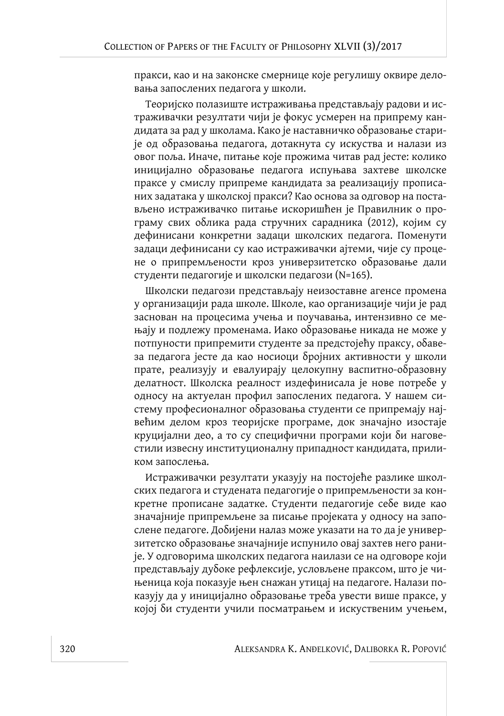пракси, као и на законске смернице које регулишу оквире деловања запослених педагога у школи.

Теоријско полазиште истраживања представљају радови и истраживачки резултати чији је фокус усмерен на припрему кандидата за рад у школама. Како је наставничко образовање старије од образовања педагога, дотакнута су искуства и налази из овог поља. Иначе, питање које прожима читав рад јесте: колико иницијално образовање педагога испуњава захтеве школске праксе у смислу припреме кандидата за реализацију прописаних задатака у школској пракси? Као основа за одговор на постављено истраживачко питање искоришћен је Правилник о програму свих облика рада стручних сарадника (2012), којим су дефинисани конкретни задаци школских педагога. Поменути задаци дефинисани су као истраживачки ајтеми, чије су процене о припремљености кроз универзитетско образовање дали студенти педагогије и школски педагози (N=165).

Школски педагози представљају неизоставне агенсе промена у организацији рада школе. Школе, као организације чији је рад заснован на процесима учења и поучавања, интензивно се мењају и подлежу променама. Иако образовање никада не може у потпуности припремити студенте за предстојећу праксу, обавеза педагога јесте да као носиоци бројних активности у школи прате, реализују и евалуирају целокупну васпитно-образовну делатност. Школска реалност издефинисала је нове потребе у односу на актуелан профил запослених педагога. У нашем систему професионалног образовања студенти се припремају највећим делом кроз теоријске програме, док значајно изостаје круцијални део, а то су специфични програми који би наговестили извесну институционалну припадност кандидата, приликом запослења.

Истраживачки резултати указују на постојеће разлике школских педагога и студената педагогије о припремљености за конкретне прописане задатке. Студенти педагогије себе виде као значајније припремљене за писање пројеката у односу на запослене педагоге. Добијени налаз може указати на то да је универзитетско образовање значајније испунило овај захтев него раније. У одговорима школских педагога наилази се на одговоре који представљају дубоке рефлексије, условљене праксом, што је чињеница која показује њен снажан утицај на педагоге. Налази показују да у иницијално образовање треба увести више праксе, у којој би студенти учили посматрањем и искуственим учењем,